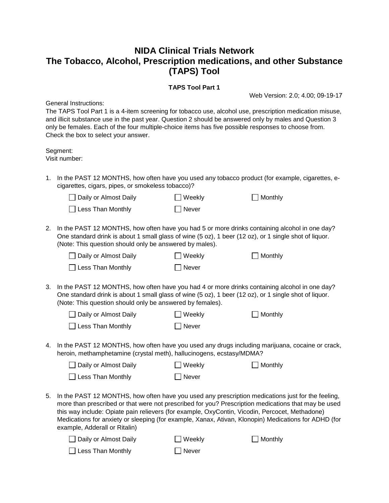## **NIDA Clinical Trials Network The Tobacco, Alcohol, Prescription medications, and other Substance (TAPS) Tool**

## **TAPS Tool Part 1**

General Instructions:

Web Version: 2.0; 4.00; 09-19-17

The TAPS Tool Part 1 is a 4-item screening for tobacco use, alcohol use, prescription medication misuse, and illicit substance use in the past year. Question 2 should be answered only by males and Question 3 only be females. Each of the four multiple-choice items has five possible responses to choose from. Check the box to select your answer.

Segment: Visit number:

1. In the PAST 12 MONTHS, how often have you used any tobacco product (for example, cigarettes, ecigarettes, cigars, pipes, or smokeless tobacco)?

| □ Daily or Almost Daily  | $\Box$ Weekly | $\Box$ Monthly |
|--------------------------|---------------|----------------|
| $\Box$ Less Than Monthly | $\Box$ Never  |                |

2. In the PAST 12 MONTHS, how often have you had 5 or more drinks containing alcohol in one day? One standard drink is about 1 small glass of wine (5 oz), 1 beer (12 oz), or 1 single shot of liquor. (Note: This question should only be answered by males).

| □ Daily or Almost Daily  | $\Box$ Weekly | $\Box$ Monthly |
|--------------------------|---------------|----------------|
| $\Box$ Less Than Monthly | Never         |                |

3. In the PAST 12 MONTHS, how often have you had 4 or more drinks containing alcohol in one day? One standard drink is about 1 small glass of wine (5 oz), 1 beer (12 oz), or 1 single shot of liquor. (Note: This question should only be answered by females).

| □ Daily or Almost Daily  | $\Box$ Weekly | $\Box$ Monthly |
|--------------------------|---------------|----------------|
| $\Box$ Less Than Monthly | $\Box$ Never  |                |

4. In the PAST 12 MONTHS, how often have you used any drugs including marijuana, cocaine or crack, heroin, methamphetamine (crystal meth), hallucinogens, ecstasy/MDMA?

| □ Daily or Almost Daily  | $\Box$ Weekly | $\Box$ Monthly |
|--------------------------|---------------|----------------|
| $\Box$ Less Than Monthly | $\Box$ Never  |                |

5. In the PAST 12 MONTHS, how often have you used any prescription medications just for the feeling, more than prescribed or that were not prescribed for you? Prescription medications that may be used this way include: Opiate pain relievers (for example, OxyContin, Vicodin, Percocet, Methadone) Medications for anxiety or sleeping (for example, Xanax, Ativan, Klonopin) Medications for ADHD (for example, Adderall or Ritalin)

| □ Daily or Almost Daily  | $\Box$ Weekly | $\Box$ Monthly |
|--------------------------|---------------|----------------|
| $\Box$ Less Than Monthly | Never         |                |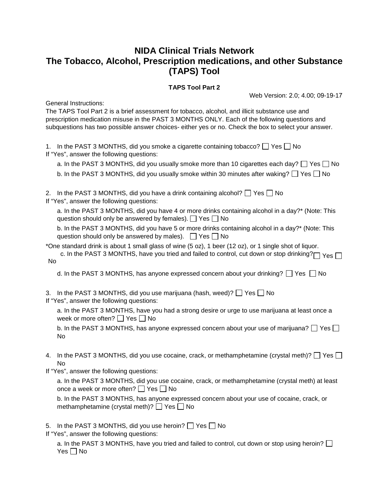## **NIDA Clinical Trials Network The Tobacco, Alcohol, Prescription medications, and other Substance (TAPS) Tool**

## **TAPS Tool Part 2**

General Instructions:

Web Version: 2.0; 4.00; 09-19-17

The TAPS Tool Part 2 is a brief assessment for tobacco, alcohol, and illicit substance use and prescription medication misuse in the PAST 3 MONTHS ONLY. Each of the following questions and subquestions has two possible answer choices- either yes or no. Check the box to select your answer.

1. In the PAST 3 MONTHS, did you smoke a cigarette containing tobacco?  $\Box$  Yes  $\Box$  No If "Yes", answer the following questions:

a. In the PAST 3 MONTHS, did you usually smoke more than 10 cigarettes each day?  $\Box$  Yes  $\Box$  No b. In the PAST 3 MONTHS, did you usually smoke within 30 minutes after waking?  $\Box$  Yes  $\Box$  No

2. In the PAST 3 MONTHS, did you have a drink containing alcohol?  $\Box$  Yes  $\Box$  No If "Yes", answer the following questions:

a. In the PAST 3 MONTHS, did you have 4 or more drinks containing alcohol in a day?\* (Note: This question should only be answered by females).  $\Box$  Yes  $\Box$  No

b. In the PAST 3 MONTHS, did you have 5 or more drinks containing alcohol in a day?\* (Note: This question should only be answered by males).  $\Box$  Yes  $\Box$  No

\*One standard drink is about 1 small glass of wine (5 oz), 1 beer (12 oz), or 1 single shot of liquor.

c. In the PAST 3 MONTHS, have you tried and failed to control, cut down or stop drinking? $\Box$   $\gamma_{\rm e s}$ No

d. In the PAST 3 MONTHS, has anyone expressed concern about your drinking?  $\Box$  Yes  $\Box$  No

3. In the PAST 3 MONTHS, did you use marijuana (hash, weed)?  $\Box$  Yes  $\Box$  No If "Yes", answer the following questions:

a. In the PAST 3 MONTHS, have you had a strong desire or urge to use marijuana at least once a week or more often?  $\Box$  Yes  $\Box$  No

b. In the PAST 3 MONTHS, has anyone expressed concern about your use of marijuana?  $\Box$  Yes  $\Box$ No

4. In the PAST 3 MONTHS, did you use cocaine, crack, or methamphetamine (crystal meth)?  $\Box$  Yes  $\Box$ No

If "Yes", answer the following questions:

a. In the PAST 3 MONTHS, did you use cocaine, crack, or methamphetamine (crystal meth) at least once a week or more often?  $\Box$  Yes  $\Box$  No

b. In the PAST 3 MONTHS, has anyone expressed concern about your use of cocaine, crack, or methamphetamine (crystal meth)?  $\Box$  Yes  $\Box$  No

5. In the PAST 3 MONTHS, did you use heroin?  $\Box$  Yes  $\Box$  No

If "Yes", answer the following questions:

a. In the PAST 3 MONTHS, have you tried and failed to control, cut down or stop using heroin?  $\square$ Yes  $\Box$  No